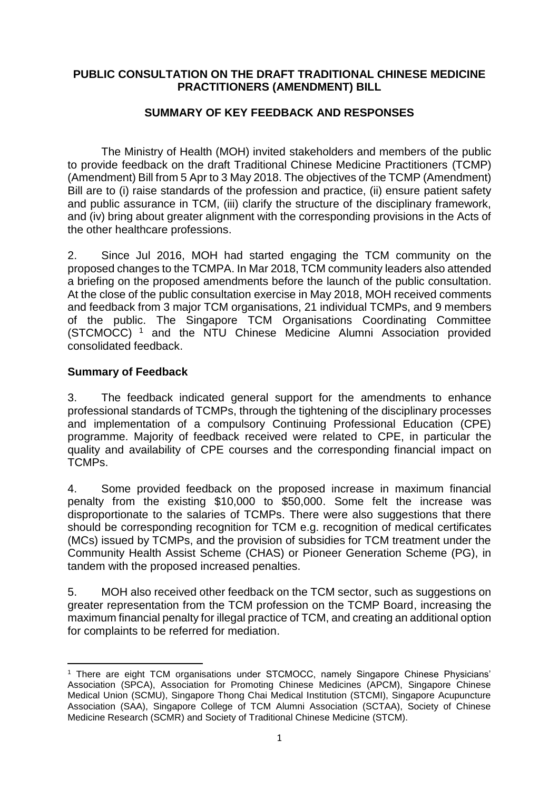#### **PUBLIC CONSULTATION ON THE DRAFT TRADITIONAL CHINESE MEDICINE PRACTITIONERS (AMENDMENT) BILL**

# **SUMMARY OF KEY FEEDBACK AND RESPONSES**

The Ministry of Health (MOH) invited stakeholders and members of the public to provide feedback on the draft Traditional Chinese Medicine Practitioners (TCMP) (Amendment) Bill from 5 Apr to 3 May 2018. The objectives of the TCMP (Amendment) Bill are to (i) raise standards of the profession and practice, (ii) ensure patient safety and public assurance in TCM, (iii) clarify the structure of the disciplinary framework, and (iv) bring about greater alignment with the corresponding provisions in the Acts of the other healthcare professions.

2. Since Jul 2016, MOH had started engaging the TCM community on the proposed changes to the TCMPA. In Mar 2018, TCM community leaders also attended a briefing on the proposed amendments before the launch of the public consultation. At the close of the public consultation exercise in May 2018, MOH received comments and feedback from 3 major TCM organisations, 21 individual TCMPs, and 9 members of the public. The Singapore TCM Organisations Coordinating Committee (STCMOCC) <sup>1</sup> and the NTU Chinese Medicine Alumni Association provided consolidated feedback.

## **Summary of Feedback**

3. The feedback indicated general support for the amendments to enhance professional standards of TCMPs, through the tightening of the disciplinary processes and implementation of a compulsory Continuing Professional Education (CPE) programme. Majority of feedback received were related to CPE, in particular the quality and availability of CPE courses and the corresponding financial impact on TCMPs.

4. Some provided feedback on the proposed increase in maximum financial penalty from the existing \$10,000 to \$50,000. Some felt the increase was disproportionate to the salaries of TCMPs. There were also suggestions that there should be corresponding recognition for TCM e.g. recognition of medical certificates (MCs) issued by TCMPs, and the provision of subsidies for TCM treatment under the Community Health Assist Scheme (CHAS) or Pioneer Generation Scheme (PG), in tandem with the proposed increased penalties.

5. MOH also received other feedback on the TCM sector, such as suggestions on greater representation from the TCM profession on the TCMP Board, increasing the maximum financial penalty for illegal practice of TCM, and creating an additional option for complaints to be referred for mediation.

<sup>1</sup> <sup>1</sup> There are eight TCM organisations under STCMOCC, namely Singapore Chinese Physicians' Association (SPCA), Association for Promoting Chinese Medicines (APCM), Singapore Chinese Medical Union (SCMU), Singapore Thong Chai Medical Institution (STCMI), Singapore Acupuncture Association (SAA), Singapore College of TCM Alumni Association (SCTAA), Society of Chinese Medicine Research (SCMR) and Society of Traditional Chinese Medicine (STCM).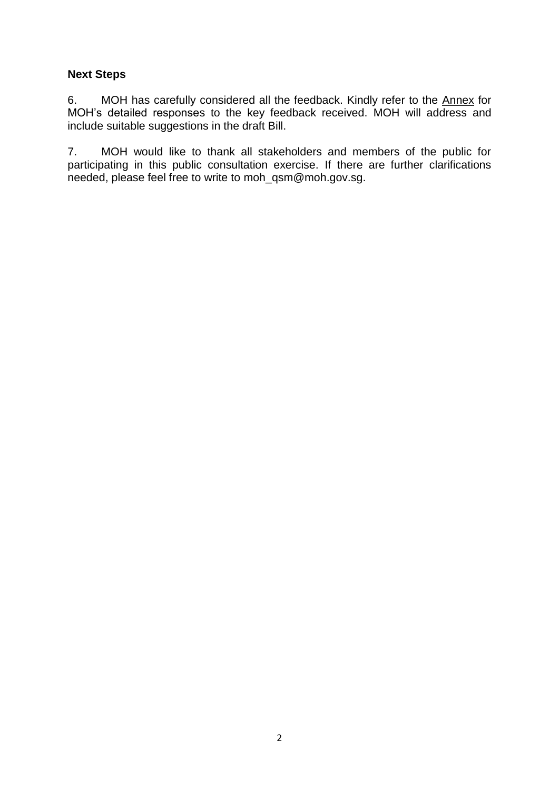## **Next Steps**

6. MOH has carefully considered all the feedback. Kindly refer to the Annex for MOH's detailed responses to the key feedback received. MOH will address and include suitable suggestions in the draft Bill.

7. MOH would like to thank all stakeholders and members of the public for participating in this public consultation exercise. If there are further clarifications needed, please feel free to write to moh\_qsm@moh.gov.sg.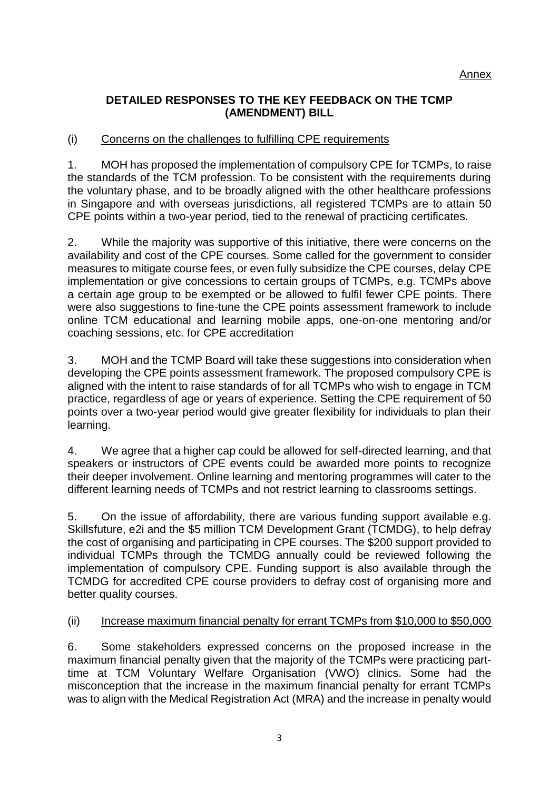#### **DETAILED RESPONSES TO THE KEY FEEDBACK ON THE TCMP (AMENDMENT) BILL**

## (i) Concerns on the challenges to fulfilling CPE requirements

1. MOH has proposed the implementation of compulsory CPE for TCMPs, to raise the standards of the TCM profession. To be consistent with the requirements during the voluntary phase, and to be broadly aligned with the other healthcare professions in Singapore and with overseas jurisdictions, all registered TCMPs are to attain 50 CPE points within a two-year period, tied to the renewal of practicing certificates.

2. While the majority was supportive of this initiative, there were concerns on the availability and cost of the CPE courses. Some called for the government to consider measures to mitigate course fees, or even fully subsidize the CPE courses, delay CPE implementation or give concessions to certain groups of TCMPs, e.g. TCMPs above a certain age group to be exempted or be allowed to fulfil fewer CPE points. There were also suggestions to fine-tune the CPE points assessment framework to include online TCM educational and learning mobile apps, one-on-one mentoring and/or coaching sessions, etc. for CPE accreditation

3. MOH and the TCMP Board will take these suggestions into consideration when developing the CPE points assessment framework. The proposed compulsory CPE is aligned with the intent to raise standards of for all TCMPs who wish to engage in TCM practice, regardless of age or years of experience. Setting the CPE requirement of 50 points over a two-year period would give greater flexibility for individuals to plan their learning.

4. We agree that a higher cap could be allowed for self-directed learning, and that speakers or instructors of CPE events could be awarded more points to recognize their deeper involvement. Online learning and mentoring programmes will cater to the different learning needs of TCMPs and not restrict learning to classrooms settings.

5. On the issue of affordability, there are various funding support available e.g. Skillsfuture, e2i and the \$5 million TCM Development Grant (TCMDG), to help defray the cost of organising and participating in CPE courses. The \$200 support provided to individual TCMPs through the TCMDG annually could be reviewed following the implementation of compulsory CPE. Funding support is also available through the TCMDG for accredited CPE course providers to defray cost of organising more and better quality courses.

## (ii) Increase maximum financial penalty for errant TCMPs from \$10,000 to \$50,000

6. Some stakeholders expressed concerns on the proposed increase in the maximum financial penalty given that the majority of the TCMPs were practicing parttime at TCM Voluntary Welfare Organisation (VWO) clinics. Some had the misconception that the increase in the maximum financial penalty for errant TCMPs was to align with the Medical Registration Act (MRA) and the increase in penalty would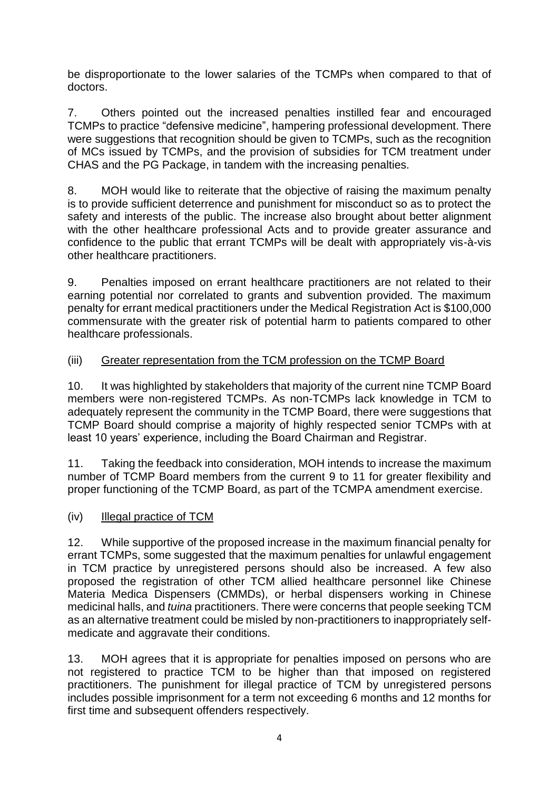be disproportionate to the lower salaries of the TCMPs when compared to that of doctors.

7. Others pointed out the increased penalties instilled fear and encouraged TCMPs to practice "defensive medicine", hampering professional development. There were suggestions that recognition should be given to TCMPs, such as the recognition of MCs issued by TCMPs, and the provision of subsidies for TCM treatment under CHAS and the PG Package, in tandem with the increasing penalties.

8. MOH would like to reiterate that the objective of raising the maximum penalty is to provide sufficient deterrence and punishment for misconduct so as to protect the safety and interests of the public. The increase also brought about better alignment with the other healthcare professional Acts and to provide greater assurance and confidence to the public that errant TCMPs will be dealt with appropriately vis-à-vis other healthcare practitioners.

9. Penalties imposed on errant healthcare practitioners are not related to their earning potential nor correlated to grants and subvention provided. The maximum penalty for errant medical practitioners under the Medical Registration Act is \$100,000 commensurate with the greater risk of potential harm to patients compared to other healthcare professionals.

## (iii) Greater representation from the TCM profession on the TCMP Board

10. It was highlighted by stakeholders that majority of the current nine TCMP Board members were non-registered TCMPs. As non-TCMPs lack knowledge in TCM to adequately represent the community in the TCMP Board, there were suggestions that TCMP Board should comprise a majority of highly respected senior TCMPs with at least 10 years' experience, including the Board Chairman and Registrar.

11. Taking the feedback into consideration, MOH intends to increase the maximum number of TCMP Board members from the current 9 to 11 for greater flexibility and proper functioning of the TCMP Board, as part of the TCMPA amendment exercise.

## (iv) Illegal practice of TCM

12. While supportive of the proposed increase in the maximum financial penalty for errant TCMPs, some suggested that the maximum penalties for unlawful engagement in TCM practice by unregistered persons should also be increased. A few also proposed the registration of other TCM allied healthcare personnel like Chinese Materia Medica Dispensers (CMMDs), or herbal dispensers working in Chinese medicinal halls, and *tuina* practitioners. There were concerns that people seeking TCM as an alternative treatment could be misled by non-practitioners to inappropriately selfmedicate and aggravate their conditions.

13. MOH agrees that it is appropriate for penalties imposed on persons who are not registered to practice TCM to be higher than that imposed on registered practitioners. The punishment for illegal practice of TCM by unregistered persons includes possible imprisonment for a term not exceeding 6 months and 12 months for first time and subsequent offenders respectively.